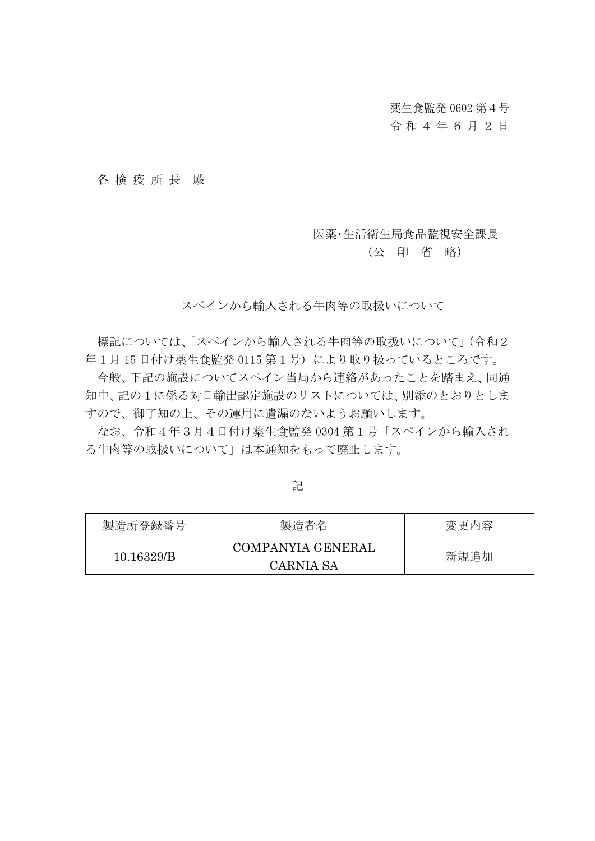薬生食監発 0602 第4号

## 令和4 年 6 月 2 日

#### 各 検 疫 所 長 殿

#### 医薬・生活衛生局食品監視安全課長

### (公 印 省 略)

スペインから輸入される牛肉等の取扱いについて

標記については、「スペインから輸入される牛肉等の取扱いについて」(令和2 年1月 15 日付け薬生食監発 0115 第1号)により取り扱っているところです。

今般、下記の施設についてスペイン当局から連絡があったことを踏まえ、同通 知中、記の1に係る対日輸出認定施設のリストについては、別添のとおりとしま すので、御了知の上、その運用に遺漏のないようお願いします。

なお、令和4年3月4日付け薬生食監発 0304 第1号「スペインから輸入され る牛肉等の取扱いについて」は本通知をもって廃止します。

記

| 製造所登録番号    | 製造者名                                  | 変更内容 |
|------------|---------------------------------------|------|
| 10.16329/B | COMPANYIA GENERAL<br><b>CARNIA SA</b> | 新規追加 |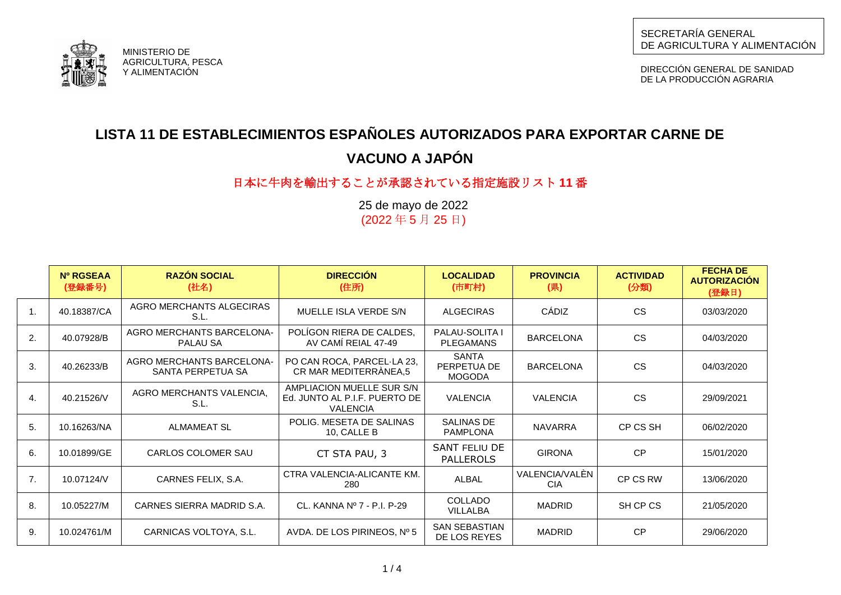

DIRECCIÓN GENERAL DE SANIDAD DE LA PRODUCCIÓN AGRARIA



# **LISTA 11 DE ESTABLECIMIENTOS ESPAÑOLES AUTORIZADOS PARA EXPORTAR CARNE DE VACUNO A JAPÓN**

# 日本に牛肉を輸出することが承認されている指定施設リスト **11** 番

25 de mayo de 2022 (2022 年 5 月 25 日)

|    | Nº RGSEAA<br>(登録番号) | <b>RAZÓN SOCIAL</b><br>(社名)                           | <b>DIRECCIÓN</b><br>(住所)                                                      | <b>LOCALIDAD</b><br>(市町村)                    | <b>PROVINCIA</b><br>(県)      | <b>ACTIVIDAD</b><br>(分類) | <b>FECHA DE</b><br><b>AUTORIZACIÓN</b><br>(登録日) |
|----|---------------------|-------------------------------------------------------|-------------------------------------------------------------------------------|----------------------------------------------|------------------------------|--------------------------|-------------------------------------------------|
| 1. | 40.18387/CA         | AGRO MERCHANTS ALGECIRAS<br>S.L.                      | MUELLE ISLA VERDE S/N                                                         | <b>ALGECIRAS</b>                             | CÁDIZ                        | <b>CS</b>                | 03/03/2020                                      |
| 2. | 40.07928/B          | <b>AGRO MERCHANTS BARCELONA-</b><br>PALAU SA          | POLIGON RIERA DE CALDES,<br>AV CAMÍ REIAL 47-49                               | <b>PALAU-SOLITA I</b><br><b>PLEGAMANS</b>    | <b>BARCELONA</b>             | <b>CS</b>                | 04/03/2020                                      |
| 3. | 40.26233/B          | <b>AGRO MERCHANTS BARCELONA-</b><br>SANTA PERPETUA SA | PO CAN ROCA, PARCEL-LA 23,<br>CR MAR MEDITERRÀNEA,5                           | <b>SANTA</b><br>PERPETUA DE<br><b>MOGODA</b> | <b>BARCELONA</b>             | <b>CS</b>                | 04/03/2020                                      |
| 4. | 40.21526/V          | AGRO MERCHANTS VALENCIA.<br>S.L.                      | AMPLIACION MUELLE SUR S/N<br>Ed. JUNTO AL P.I.F. PUERTO DE<br><b>VALENCIA</b> | <b>VALENCIA</b>                              | <b>VALENCIA</b>              | <b>CS</b>                | 29/09/2021                                      |
| 5. | 10.16263/NA         | ALMAMEAT SL                                           | POLIG. MESETA DE SALINAS<br>10, CALLE B                                       | SALINAS DE<br><b>PAMPLONA</b>                | <b>NAVARRA</b>               | CP CS SH                 | 06/02/2020                                      |
| 6. | 10.01899/GE         | CARLOS COLOMER SAU                                    | CT STA PAU, 3                                                                 | SANT FELIU DE<br><b>PALLEROLS</b>            | <b>GIRONA</b>                | <b>CP</b>                | 15/01/2020                                      |
| 7. | 10.07124/V          | CARNES FELIX, S.A.                                    | CTRA VALENCIA-ALICANTE KM.<br>280                                             | ALBAL                                        | VALENCIA/VALÈN<br><b>CIA</b> | CP CS RW                 | 13/06/2020                                      |
| 8. | 10.05227/M          | CARNES SIERRA MADRID S.A.                             | CL. KANNA Nº 7 - P.I. P-29                                                    | <b>COLLADO</b><br><b>VILLALBA</b>            | <b>MADRID</b>                | SH CP CS                 | 21/05/2020                                      |
| 9. | 10.024761/M         | CARNICAS VOLTOYA, S.L.                                | AVDA. DE LOS PIRINEOS, $N^{\circ}$ 5                                          | <b>SAN SEBASTIAN</b><br>DE LOS REYES         | <b>MADRID</b>                | <b>CP</b>                | 29/06/2020                                      |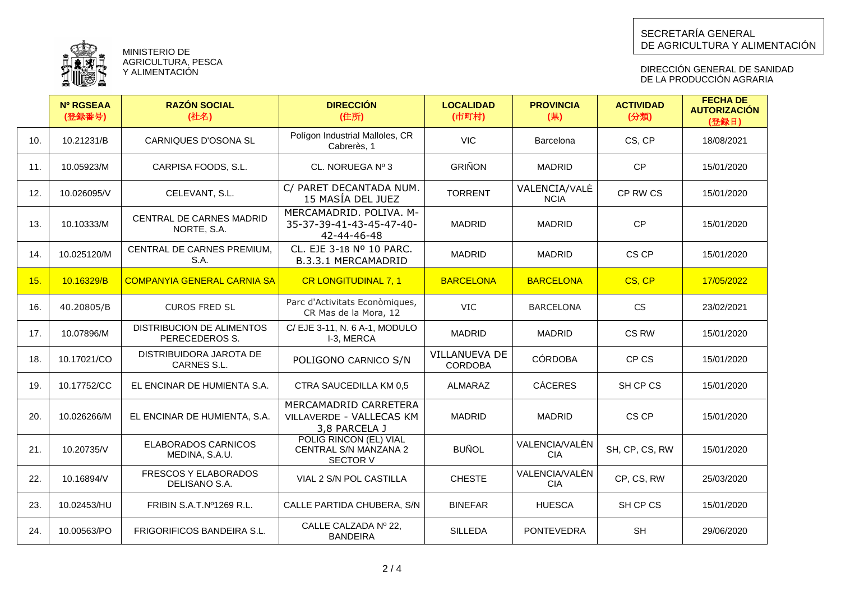

MINISTERIO DE AGRICULTURA, PESCA Y ALIMENTACIÓN

DIRECCIÓN GENERAL DE SANIDAD DE LA PRODUCCION AGRARIA

|     | <b>Nº RGSEAA</b><br>(登録番号) | <b>RAZÓN SOCIAL</b><br>(社名)                        | <b>DIRECCIÓN</b><br>(住所)                                           | <b>LOCALIDAD</b><br>(市町村)              | <b>PROVINCIA</b><br>(県)      | <b>ACTIVIDAD</b><br>(分類) | <b>FECHA DE</b><br><b>AUTORIZACIÓN</b><br>(登録日) |
|-----|----------------------------|----------------------------------------------------|--------------------------------------------------------------------|----------------------------------------|------------------------------|--------------------------|-------------------------------------------------|
| 10. | 10.21231/B                 | <b>CARNIQUES D'OSONA SL</b>                        | Polígon Industrial Malloles, CR<br>Cabrerès, 1                     | <b>VIC</b>                             | Barcelona                    | CS, CP                   | 18/08/2021                                      |
| 11. | 10.05923/M                 | CARPISA FOODS, S.L.                                | CL. NORUEGA Nº 3                                                   | <b>GRIÑON</b>                          | <b>MADRID</b>                | <b>CP</b>                | 15/01/2020                                      |
| 12. | 10.026095/V                | CELEVANT, S.L.                                     | C/ PARET DECANTADA NUM.<br>15 MASÍA DEL JUEZ                       | <b>TORRENT</b>                         | VALENCIA/VALÈ<br><b>NCIA</b> | CP RW CS                 | 15/01/2020                                      |
| 13. | 10.10333/M                 | CENTRAL DE CARNES MADRID<br>NORTE, S.A.            | MERCAMADRID, POLIVA, M-<br>35-37-39-41-43-45-47-40-<br>42-44-46-48 | <b>MADRID</b>                          | <b>MADRID</b>                | <b>CP</b>                | 15/01/2020                                      |
| 14. | 10.025120/M                | CENTRAL DE CARNES PREMIUM,<br>S.A.                 | CL, EJE 3-18 Nº 10 PARC.<br>B.3.3.1 MERCAMADRID                    | <b>MADRID</b>                          | <b>MADRID</b>                | CS CP                    | 15/01/2020                                      |
| 15. | 10.16329/B                 | <b>COMPANYIA GENERAL CARNIA SA</b>                 | <b>CR LONGITUDINAL 7, 1</b>                                        | <b>BARCELONA</b>                       | <b>BARCELONA</b>             | CS, CP                   | 17/05/2022                                      |
| 16. | 40.20805/B                 | <b>CUROS FRED SL</b>                               | Parc d'Activitats Econòmiques,<br>CR Mas de la Mora, 12            | VIC                                    | <b>BARCELONA</b>             | <b>CS</b>                | 23/02/2021                                      |
| 17. | 10.07896/M                 | <b>DISTRIBUCION DE ALIMENTOS</b><br>PERECEDEROS S. | C/ EJE 3-11, N. 6 A-1, MODULO<br>I-3, MERCA                        | <b>MADRID</b>                          | <b>MADRID</b>                | CS RW                    | 15/01/2020                                      |
| 18. | 10.17021/CO                | DISTRIBUIDORA JAROTA DE<br>CARNES S.L.             | POLIGONO CARNICO S/N                                               | <b>VILLANUEVA DE</b><br><b>CORDOBA</b> | <b>CÓRDOBA</b>               | CP CS                    | 15/01/2020                                      |
| 19. | 10.17752/CC                | EL ENCINAR DE HUMIENTA S.A.                        | CTRA SAUCEDILLA KM 0,5                                             | ALMARAZ                                | <b>CÁCERES</b>               | SH CP CS                 | 15/01/2020                                      |
| 20. | 10.026266/M                | EL ENCINAR DE HUMIENTA, S.A.                       | MERCAMADRID CARRETERA<br>VILLAVERDE - VALLECAS KM<br>3,8 PARCELA J | <b>MADRID</b>                          | <b>MADRID</b>                | CS CP                    | 15/01/2020                                      |
| 21. | 10.20735/V                 | <b>ELABORADOS CARNICOS</b><br>MEDINA, S.A.U.       | POLIG RINCON (EL) VIAL<br>CENTRAL S/N MANZANA 2<br><b>SECTOR V</b> | <b>BUÑOL</b>                           | VALENCIA/VALÈN<br><b>CIA</b> | SH, CP, CS, RW           | 15/01/2020                                      |
| 22. | 10.16894/V                 | FRESCOS Y ELABORADOS<br>DELISANO S.A.              | VIAL 2 S/N POL CASTILLA                                            | <b>CHESTE</b>                          | VALENCIA/VALÈN<br><b>CIA</b> | CP, CS, RW               | 25/03/2020                                      |
| 23. | 10.02453/HU                | FRIBIN S.A.T.Nº1269 R.L.                           | CALLE PARTIDA CHUBERA, S/N                                         | <b>BINEFAR</b>                         | <b>HUESCA</b>                | SH CP CS                 | 15/01/2020                                      |
| 24. | 10.00563/PO                | <b>FRIGORIFICOS BANDEIRA S.L.</b>                  | CALLE CALZADA Nº 22,<br><b>BANDEIRA</b>                            | <b>SILLEDA</b>                         | <b>PONTEVEDRA</b>            | <b>SH</b>                | 29/06/2020                                      |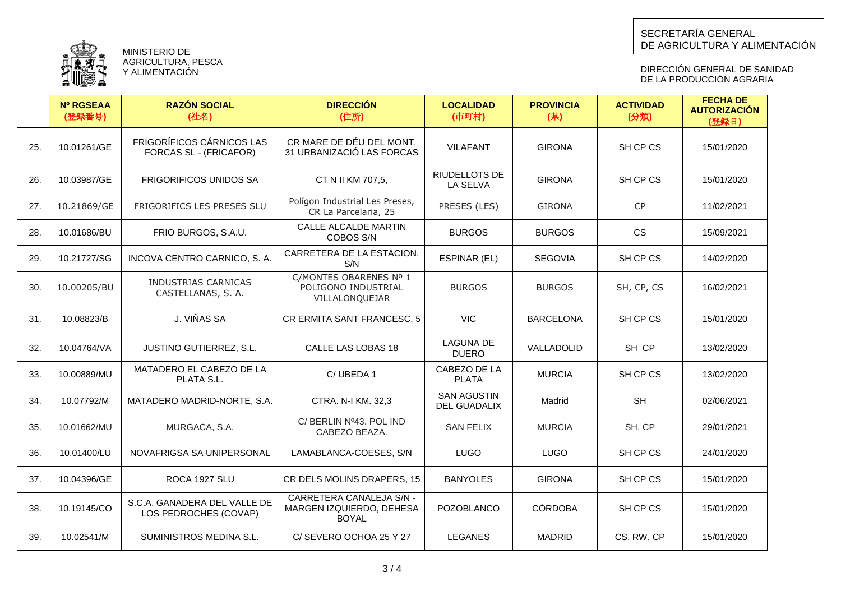

MINISTERIO DE AGRICULTURA, PESCA Y ALIMENTACIÓN

DIRECCIÓN GENERAL DE SANIDAD DE LA PRODUCCION AGRARIA

|     | <b>Nº RGSEAA</b><br>(登録番号) | <b>RAZÓN SOCIAL</b><br>(社名)                                | <b>DIRECCIÓN</b><br>(住所)                                             | <b>LOCALIDAD</b><br>(市町村)          | <b>PROVINCIA</b><br>(県) | <b>ACTIVIDAD</b><br>(分類) | <b>FECHA DE</b><br><b>AUTORIZACIÓN</b><br>(登録日) |
|-----|----------------------------|------------------------------------------------------------|----------------------------------------------------------------------|------------------------------------|-------------------------|--------------------------|-------------------------------------------------|
| 25. | 10.01261/GE                | <b>FRIGORÍFICOS CÁRNICOS LAS</b><br>FORCAS SL - (FRICAFOR) | CR MARE DE DÉU DEL MONT.<br>31 URBANIZACIÓ LAS FORCAS                | <b>VILAFANT</b>                    | <b>GIRONA</b>           | SH CP CS                 | 15/01/2020                                      |
| 26. | 10.03987/GE                | <b>FRIGORIFICOS UNIDOS SA</b>                              | CT N II KM 707,5,                                                    | RIUDELLOTS DE<br>LA SELVA          | <b>GIRONA</b>           | SH CP CS                 | 15/01/2020                                      |
| 27. | 10.21869/GE                | FRIGORIFICS LES PRESES SLU                                 | Polígon Industrial Les Preses,<br>CR La Parcelaria, 25               | PRESES (LES)                       | <b>GIRONA</b>           | <b>CP</b>                | 11/02/2021                                      |
| 28. | 10.01686/BU                | FRIO BURGOS, S.A.U.                                        | CALLE ALCALDE MARTIN<br>COBOS S/N                                    | <b>BURGOS</b>                      | <b>BURGOS</b>           | <b>CS</b>                | 15/09/2021                                      |
| 29. | 10.21727/SG                | INCOVA CENTRO CARNICO, S. A.                               | CARRETERA DE LA ESTACION,<br>S/N                                     | ESPINAR (EL)                       | <b>SEGOVIA</b>          | SH CP CS                 | 14/02/2020                                      |
| 30. | 10.00205/BU                | INDUSTRIAS CARNICAS<br>CASTELLANAS, S.A.                   | C/MONTES OBARENES Nº 1<br>POLIGONO INDUSTRIAL<br>VILLALONQUEJAR      | <b>BURGOS</b>                      | <b>BURGOS</b>           | SH, CP, CS               | 16/02/2021                                      |
| 31. | 10.08823/B                 | J. VIÑAS SA                                                | CR ERMITA SANT FRANCESC, 5                                           | <b>VIC</b>                         | <b>BARCELONA</b>        | SH CP CS                 | 15/01/2020                                      |
| 32. | 10.04764/VA                | <b>JUSTINO GUTIERREZ, S.L.</b>                             | CALLE LAS LOBAS 18                                                   | <b>LAGUNA DE</b><br><b>DUERO</b>   | VALLADOLID              | SH CP                    | 13/02/2020                                      |
| 33. | 10.00889/MU                | MATADERO EL CABEZO DE LA<br>PLATA S.L.                     | C/UBEDA 1                                                            | CABEZO DE LA<br><b>PLATA</b>       | <b>MURCIA</b>           | SH CP CS                 | 13/02/2020                                      |
| 34. | 10.07792/M                 | MATADERO MADRID-NORTE, S.A.                                | CTRA. N-I KM. 32,3                                                   | <b>SAN AGUSTIN</b><br>DEL GUADALIX | Madrid                  | <b>SH</b>                | 02/06/2021                                      |
| 35. | 10.01662/MU                | MURGACA, S.A.                                              | C/ BERLIN Nº43. POL IND<br>CABEZO BEAZA.                             | <b>SAN FELIX</b>                   | <b>MURCIA</b>           | SH, CP                   | 29/01/2021                                      |
| 36. | 10.01400/LU                | NOVAFRIGSA SA UNIPERSONAL                                  | LAMABLANCA-COESES, S/N                                               | <b>LUGO</b>                        | <b>LUGO</b>             | SH CP CS                 | 24/01/2020                                      |
| 37. | 10.04396/GE                | ROCA 1927 SLU                                              | CR DELS MOLINS DRAPERS, 15                                           | <b>BANYOLES</b>                    | <b>GIRONA</b>           | SH CP CS                 | 15/01/2020                                      |
| 38. | 10.19145/CO                | S.C.A. GANADERA DEL VALLE DE<br>LOS PEDROCHES (COVAP)      | CARRETERA CANALEJA S/N -<br>MARGEN IZQUIERDO, DEHESA<br><b>BOYAL</b> | <b>POZOBLANCO</b>                  | <b>CÓRDOBA</b>          | SH CP CS                 | 15/01/2020                                      |
| 39. | 10.02541/M                 | SUMINISTROS MEDINA S.L.                                    | C/SEVERO OCHOA 25 Y 27                                               | <b>LEGANES</b>                     | <b>MADRID</b>           | CS, RW, CP               | 15/01/2020                                      |